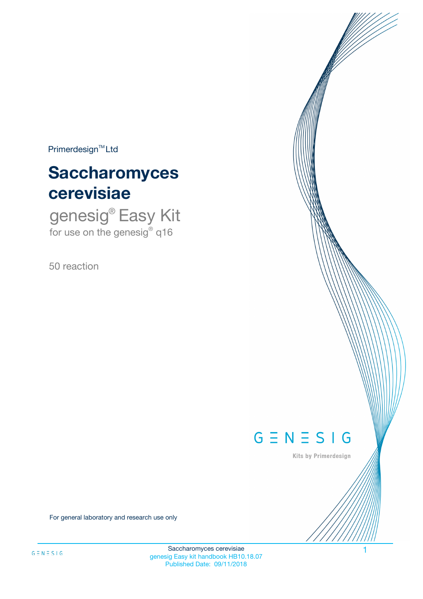$Primerdesign^{\text{TM}}Ltd$ 

# **Saccharomyces cerevisiae**

genesig® Easy Kit for use on the genesig® q16

50 reaction



Kits by Primerdesign

For general laboratory and research use only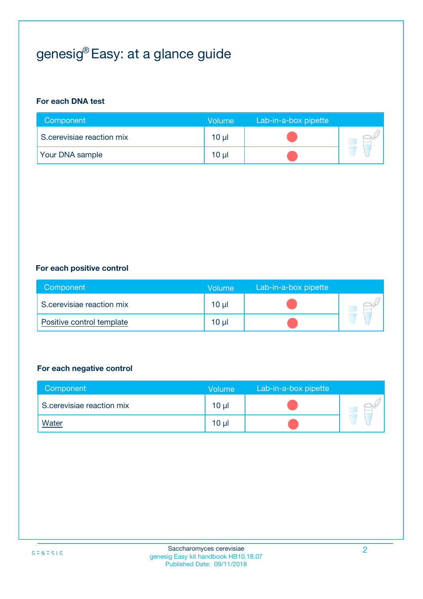# genesig® Easy: at a glance guide

#### **For each DNA test**

| Component                 | <b>Volume</b> | Lab-in-a-box pipette |  |
|---------------------------|---------------|----------------------|--|
| S.cerevisiae reaction mix | 10 µl         |                      |  |
| <b>Your DNA sample</b>    | 10 µl         |                      |  |

#### **For each positive control**

| Component                 | Volume          | Lab-in-a-box pipette |  |
|---------------------------|-----------------|----------------------|--|
| S.cerevisiae reaction mix | 10 <sub>µ</sub> |                      |  |
| Positive control template | $10 \mu$        |                      |  |

#### **For each negative control**

| Component                 | <b>Volume</b>   | Lab-in-a-box pipette |  |
|---------------------------|-----------------|----------------------|--|
| S.cerevisiae reaction mix | 10 <sub>µ</sub> |                      |  |
| <u>Water</u>              | 10 <sub>µ</sub> |                      |  |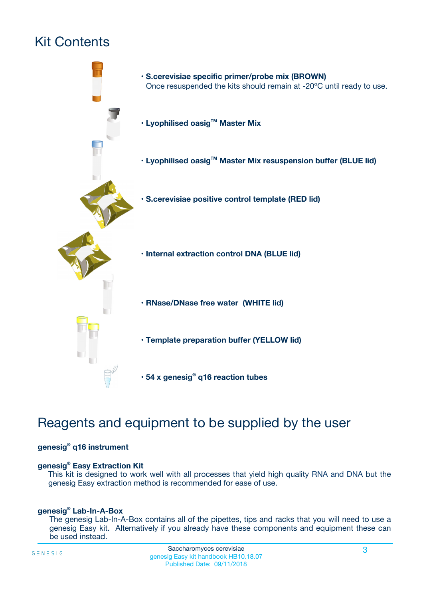# Kit Contents



## Reagents and equipment to be supplied by the user

#### **genesig® q16 instrument**

#### **genesig® Easy Extraction Kit**

This kit is designed to work well with all processes that yield high quality RNA and DNA but the genesig Easy extraction method is recommended for ease of use.

#### **genesig® Lab-In-A-Box**

The genesig Lab-In-A-Box contains all of the pipettes, tips and racks that you will need to use a genesig Easy kit. Alternatively if you already have these components and equipment these can be used instead.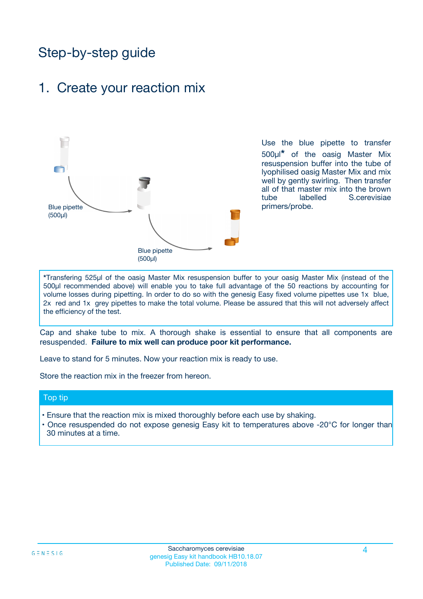## Step-by-step guide

### 1. Create your reaction mix



Use the blue pipette to transfer 500µl**\*** of the oasig Master Mix resuspension buffer into the tube of lyophilised oasig Master Mix and mix well by gently swirling. Then transfer all of that master mix into the brown tube labelled S.cerevisiae primers/probe.

**\***Transfering 525µl of the oasig Master Mix resuspension buffer to your oasig Master Mix (instead of the 500µl recommended above) will enable you to take full advantage of the 50 reactions by accounting for volume losses during pipetting. In order to do so with the genesig Easy fixed volume pipettes use 1x blue, 2x red and 1x grey pipettes to make the total volume. Please be assured that this will not adversely affect the efficiency of the test.

Cap and shake tube to mix. A thorough shake is essential to ensure that all components are resuspended. **Failure to mix well can produce poor kit performance.**

Leave to stand for 5 minutes. Now your reaction mix is ready to use.

Store the reaction mix in the freezer from hereon.

#### Top tip

- Ensure that the reaction mix is mixed thoroughly before each use by shaking.
- **•** Once resuspended do not expose genesig Easy kit to temperatures above -20°C for longer than 30 minutes at a time.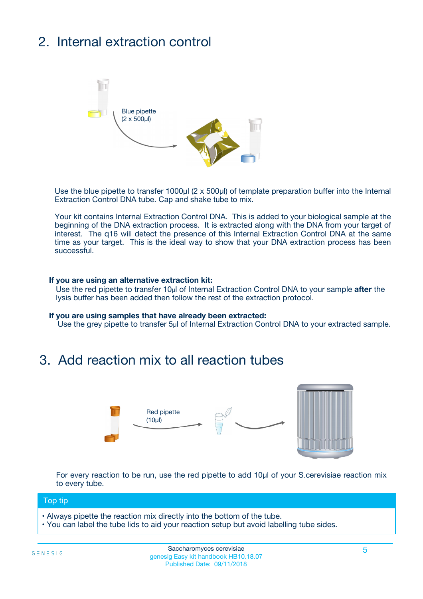# 2. Internal extraction control



Use the blue pipette to transfer 1000µl (2 x 500µl) of template preparation buffer into the Internal Extraction Control DNA tube. Cap and shake tube to mix.

Your kit contains Internal Extraction Control DNA. This is added to your biological sample at the beginning of the DNA extraction process. It is extracted along with the DNA from your target of interest. The q16 will detect the presence of this Internal Extraction Control DNA at the same time as your target. This is the ideal way to show that your DNA extraction process has been successful.

#### **If you are using an alternative extraction kit:**

Use the red pipette to transfer 10µl of Internal Extraction Control DNA to your sample **after** the lysis buffer has been added then follow the rest of the extraction protocol.

#### **If you are using samples that have already been extracted:**

Use the grey pipette to transfer 5µl of Internal Extraction Control DNA to your extracted sample.

### 3. Add reaction mix to all reaction tubes



For every reaction to be run, use the red pipette to add 10µl of your S.cerevisiae reaction mix to every tube.

#### Top tip

- Always pipette the reaction mix directly into the bottom of the tube.
- You can label the tube lids to aid your reaction setup but avoid labelling tube sides.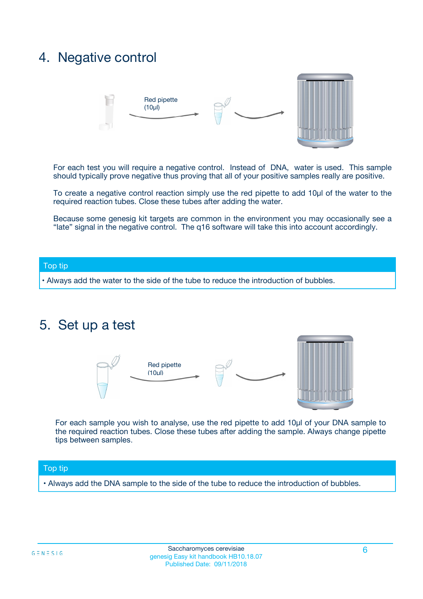### 4. Negative control



For each test you will require a negative control. Instead of DNA, water is used. This sample should typically prove negative thus proving that all of your positive samples really are positive.

To create a negative control reaction simply use the red pipette to add 10µl of the water to the required reaction tubes. Close these tubes after adding the water.

Because some genesig kit targets are common in the environment you may occasionally see a "late" signal in the negative control. The q16 software will take this into account accordingly.

#### Top tip

**•** Always add the water to the side of the tube to reduce the introduction of bubbles.

### 5. Set up a test



For each sample you wish to analyse, use the red pipette to add 10µl of your DNA sample to the required reaction tubes. Close these tubes after adding the sample. Always change pipette tips between samples.

#### Top tip

**•** Always add the DNA sample to the side of the tube to reduce the introduction of bubbles.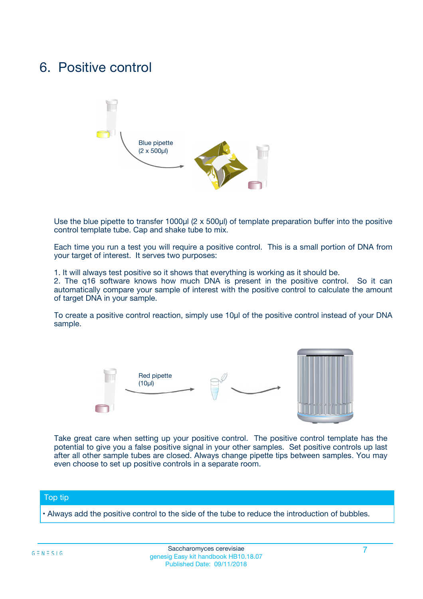### 6. Positive control



Use the blue pipette to transfer 1000µl (2 x 500µl) of template preparation buffer into the positive control template tube. Cap and shake tube to mix.

Each time you run a test you will require a positive control. This is a small portion of DNA from your target of interest. It serves two purposes:

1. It will always test positive so it shows that everything is working as it should be.

2. The q16 software knows how much DNA is present in the positive control. So it can automatically compare your sample of interest with the positive control to calculate the amount of target DNA in your sample.

To create a positive control reaction, simply use 10µl of the positive control instead of your DNA sample.



Take great care when setting up your positive control. The positive control template has the potential to give you a false positive signal in your other samples. Set positive controls up last after all other sample tubes are closed. Always change pipette tips between samples. You may even choose to set up positive controls in a separate room.

#### Top tip

**•** Always add the positive control to the side of the tube to reduce the introduction of bubbles.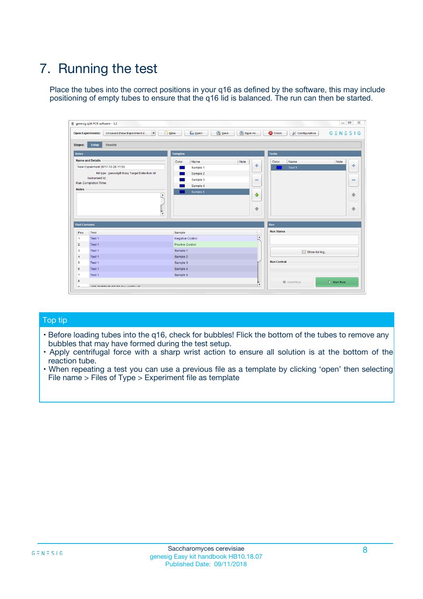# 7. Running the test

Place the tubes into the correct positions in your q16 as defined by the software, this may include positioning of empty tubes to ensure that the q16 lid is balanced. The run can then be started.

| genesig q16 PCR software - 1.2                                               |                                     | $\Box$                                                                                  |
|------------------------------------------------------------------------------|-------------------------------------|-----------------------------------------------------------------------------------------|
| Unsaved (New Experiment 2<br>$\vert \cdot \vert$<br><b>Open Experiments:</b> | <b>D</b> Open<br>Save<br>$\Box$ New | Save As<br><b>C</b> Close<br>$G \equiv N \equiv S \mid G$<br><b>&amp; Configuration</b> |
| Setup<br><b>Results</b><br><b>Stages:</b>                                    |                                     |                                                                                         |
| <b>Notes</b>                                                                 | Samples                             | <b>Tests</b>                                                                            |
| <b>Name and Details</b>                                                      | Color<br>Name                       | Note<br>Color<br>Note<br>Name                                                           |
| New Experiment 2017-10-26 11:06                                              | Sample 1                            | ع<br>条<br>Test 1                                                                        |
| Kit type: genesig® Easy Target Detection kit                                 | Sample 2                            |                                                                                         |
| Instrument Id.:                                                              | Sample 3                            | $\qquad \qquad \blacksquare$<br>$\qquad \qquad \blacksquare$                            |
| Run Completion Time:                                                         | Sample 4                            |                                                                                         |
| <b>Notes</b>                                                                 | Sample 5<br>A<br>v                  | $\triangle$<br>4<br>$\oplus$<br>₩                                                       |
| <b>Well Contents</b>                                                         |                                     | <b>Run</b>                                                                              |
| Pos.<br>Test                                                                 | Sample                              | <b>Run Status</b>                                                                       |
| Test 1<br>-1                                                                 | <b>Negative Control</b>             | $\blacktriangle$                                                                        |
| $\overline{2}$<br>Test 1                                                     | <b>Positive Control</b>             |                                                                                         |
| $\overline{\mathbf{3}}$<br>Test 1                                            | Sample 1                            | Show full log                                                                           |
| Test 1<br>$\overline{4}$                                                     | Sample 2                            |                                                                                         |
| 5<br>Test 1                                                                  | Sample 3                            | <b>Run Control</b>                                                                      |
| 6<br>Test 1                                                                  | Sample 4                            |                                                                                         |
| $\overline{7}$<br>Test 1                                                     | Sample 5                            |                                                                                         |
| 8                                                                            |                                     | $\triangleright$ Start Run<br>Abort Run                                                 |
| <b>JOD FURTY TUDE TO BUILDED IN</b>                                          |                                     | $\overline{\mathbf{v}}$                                                                 |

#### Top tip

- Before loading tubes into the q16, check for bubbles! Flick the bottom of the tubes to remove any bubbles that may have formed during the test setup.
- Apply centrifugal force with a sharp wrist action to ensure all solution is at the bottom of the reaction tube.
- When repeating a test you can use a previous file as a template by clicking 'open' then selecting File name > Files of Type > Experiment file as template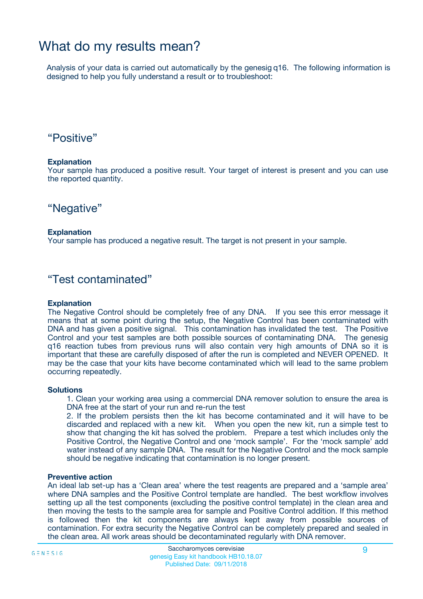## What do my results mean?

Analysis of your data is carried out automatically by the genesig q16. The following information is designed to help you fully understand a result or to troubleshoot:

### "Positive"

#### **Explanation**

Your sample has produced a positive result. Your target of interest is present and you can use the reported quantity.

"Negative"

#### **Explanation**

Your sample has produced a negative result. The target is not present in your sample.

### "Test contaminated"

#### **Explanation**

The Negative Control should be completely free of any DNA. If you see this error message it means that at some point during the setup, the Negative Control has been contaminated with DNA and has given a positive signal. This contamination has invalidated the test. The Positive Control and your test samples are both possible sources of contaminating DNA. The genesig q16 reaction tubes from previous runs will also contain very high amounts of DNA so it is important that these are carefully disposed of after the run is completed and NEVER OPENED. It may be the case that your kits have become contaminated which will lead to the same problem occurring repeatedly.

#### **Solutions**

1. Clean your working area using a commercial DNA remover solution to ensure the area is DNA free at the start of your run and re-run the test

2. If the problem persists then the kit has become contaminated and it will have to be discarded and replaced with a new kit. When you open the new kit, run a simple test to show that changing the kit has solved the problem. Prepare a test which includes only the Positive Control, the Negative Control and one 'mock sample'. For the 'mock sample' add water instead of any sample DNA. The result for the Negative Control and the mock sample should be negative indicating that contamination is no longer present.

#### **Preventive action**

An ideal lab set-up has a 'Clean area' where the test reagents are prepared and a 'sample area' where DNA samples and the Positive Control template are handled. The best workflow involves setting up all the test components (excluding the positive control template) in the clean area and then moving the tests to the sample area for sample and Positive Control addition. If this method is followed then the kit components are always kept away from possible sources of contamination. For extra security the Negative Control can be completely prepared and sealed in the clean area. All work areas should be decontaminated regularly with DNA remover.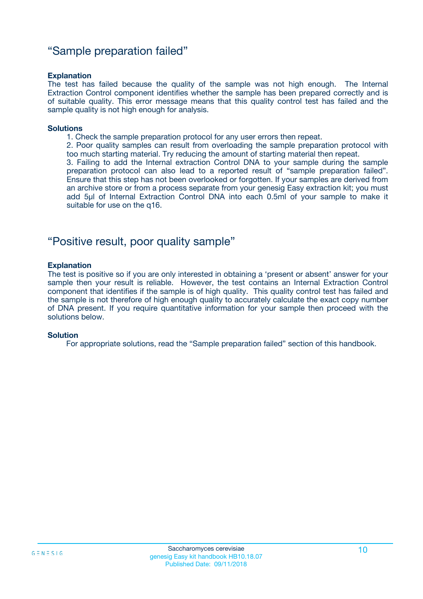### "Sample preparation failed"

#### **Explanation**

The test has failed because the quality of the sample was not high enough. The Internal Extraction Control component identifies whether the sample has been prepared correctly and is of suitable quality. This error message means that this quality control test has failed and the sample quality is not high enough for analysis.

#### **Solutions**

1. Check the sample preparation protocol for any user errors then repeat.

2. Poor quality samples can result from overloading the sample preparation protocol with too much starting material. Try reducing the amount of starting material then repeat.

3. Failing to add the Internal extraction Control DNA to your sample during the sample preparation protocol can also lead to a reported result of "sample preparation failed". Ensure that this step has not been overlooked or forgotten. If your samples are derived from an archive store or from a process separate from your genesig Easy extraction kit; you must add 5µl of Internal Extraction Control DNA into each 0.5ml of your sample to make it suitable for use on the q16.

### "Positive result, poor quality sample"

#### **Explanation**

The test is positive so if you are only interested in obtaining a 'present or absent' answer for your sample then your result is reliable. However, the test contains an Internal Extraction Control component that identifies if the sample is of high quality. This quality control test has failed and the sample is not therefore of high enough quality to accurately calculate the exact copy number of DNA present. If you require quantitative information for your sample then proceed with the solutions below.

#### **Solution**

For appropriate solutions, read the "Sample preparation failed" section of this handbook.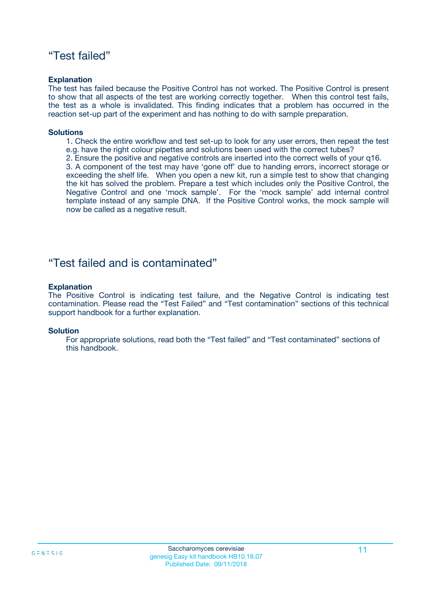### "Test failed"

#### **Explanation**

The test has failed because the Positive Control has not worked. The Positive Control is present to show that all aspects of the test are working correctly together. When this control test fails, the test as a whole is invalidated. This finding indicates that a problem has occurred in the reaction set-up part of the experiment and has nothing to do with sample preparation.

#### **Solutions**

- 1. Check the entire workflow and test set-up to look for any user errors, then repeat the test e.g. have the right colour pipettes and solutions been used with the correct tubes?
- 2. Ensure the positive and negative controls are inserted into the correct wells of your q16.

3. A component of the test may have 'gone off' due to handing errors, incorrect storage or exceeding the shelf life. When you open a new kit, run a simple test to show that changing the kit has solved the problem. Prepare a test which includes only the Positive Control, the Negative Control and one 'mock sample'. For the 'mock sample' add internal control template instead of any sample DNA. If the Positive Control works, the mock sample will now be called as a negative result.

### "Test failed and is contaminated"

#### **Explanation**

The Positive Control is indicating test failure, and the Negative Control is indicating test contamination. Please read the "Test Failed" and "Test contamination" sections of this technical support handbook for a further explanation.

#### **Solution**

For appropriate solutions, read both the "Test failed" and "Test contaminated" sections of this handbook.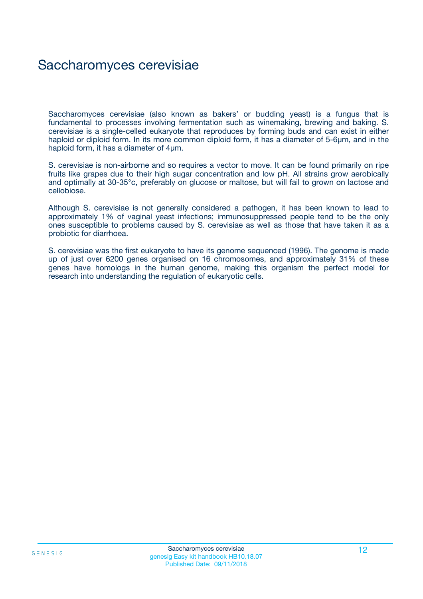## Saccharomyces cerevisiae

Saccharomyces cerevisiae (also known as bakers' or budding yeast) is a fungus that is fundamental to processes involving fermentation such as winemaking, brewing and baking. S. cerevisiae is a single-celled eukaryote that reproduces by forming buds and can exist in either haploid or diploid form. In its more common diploid form, it has a diameter of 5-6µm, and in the haploid form, it has a diameter of 4µm.

S. cerevisiae is non-airborne and so requires a vector to move. It can be found primarily on ripe fruits like grapes due to their high sugar concentration and low pH. All strains grow aerobically and optimally at 30-35°c, preferably on glucose or maltose, but will fail to grown on lactose and cellobiose.

Although S. cerevisiae is not generally considered a pathogen, it has been known to lead to approximately 1% of vaginal yeast infections; immunosuppressed people tend to be the only ones susceptible to problems caused by S. cerevisiae as well as those that have taken it as a probiotic for diarrhoea.

S. cerevisiae was the first eukaryote to have its genome sequenced (1996). The genome is made up of just over 6200 genes organised on 16 chromosomes, and approximately 31% of these genes have homologs in the human genome, making this organism the perfect model for research into understanding the regulation of eukaryotic cells.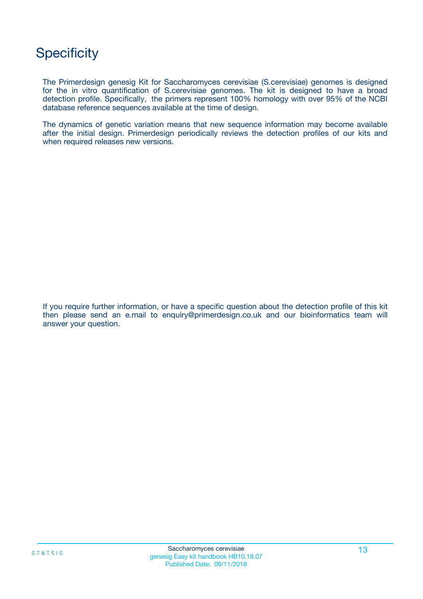## **Specificity**

The Primerdesign genesig Kit for Saccharomyces cerevisiae (S.cerevisiae) genomes is designed for the in vitro quantification of S.cerevisiae genomes. The kit is designed to have a broad detection profile. Specifically, the primers represent 100% homology with over 95% of the NCBI database reference sequences available at the time of design.

The dynamics of genetic variation means that new sequence information may become available after the initial design. Primerdesign periodically reviews the detection profiles of our kits and when required releases new versions.

If you require further information, or have a specific question about the detection profile of this kit then please send an e.mail to enquiry@primerdesign.co.uk and our bioinformatics team will answer your question.